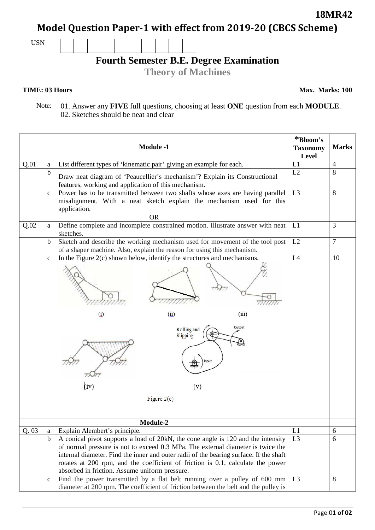Page 0**1 of 02**

### **18MR42**

**Model Question Paper-1 with effect from 2019-20 (CBCS Scheme)**

USN

## **Fourth Semester B.E. Degree Examination**

**Theory of Machines**

#### **TIME: 03 Hours**

**Max. Marks: 100**

 Note: 01. Answer any **FIVE** full questions, choosing at least **ONE** question from each **MODULE**. 02. Sketches should be neat and clear

|      |              | <b>Module -1</b>                                                                                                                                                                                                                                                                                                                                                                                   | *Bloom's<br><b>Taxonomy</b><br>Level | <b>Marks</b>   |
|------|--------------|----------------------------------------------------------------------------------------------------------------------------------------------------------------------------------------------------------------------------------------------------------------------------------------------------------------------------------------------------------------------------------------------------|--------------------------------------|----------------|
| Q.01 | a            | List different types of 'kinematic pair' giving an example for each.                                                                                                                                                                                                                                                                                                                               | L1                                   | $\overline{4}$ |
|      | $\mathbf b$  | Draw neat diagram of 'Peaucellier's mechanism'? Explain its Constructional<br>features, working and application of this mechanism.                                                                                                                                                                                                                                                                 | L2                                   | 8              |
|      | $\mathbf c$  | Power has to be transmitted between two shafts whose axes are having parallel<br>misalignment. With a neat sketch explain the mechanism used for this<br>application.                                                                                                                                                                                                                              | L3                                   | 8              |
|      |              | <b>OR</b>                                                                                                                                                                                                                                                                                                                                                                                          |                                      |                |
| Q.02 | a            | Define complete and incomplete constrained motion. Illustrate answer with neat<br>sketches.                                                                                                                                                                                                                                                                                                        | L1                                   | 3              |
|      | $\mathbf b$  | Sketch and describe the working mechanism used for movement of the tool post<br>of a shaper machine. Also, explain the reason for using this mechanism.                                                                                                                                                                                                                                            | L2                                   | $\overline{7}$ |
|      | $\mathbf c$  | In the Figure $2(c)$ shown below, identify the structures and mechanisms.<br>$\omega$<br>(iii)<br>(i)<br>Output<br>Rolling and<br>Slipping<br>Input<br>fat<br>(iv)<br>(v)<br>Figure $2(c)$                                                                                                                                                                                                         | L4                                   | 10             |
|      |              | Module-2                                                                                                                                                                                                                                                                                                                                                                                           |                                      |                |
| Q.03 | a            | Explain Alembert's principle.                                                                                                                                                                                                                                                                                                                                                                      | L1                                   | 6              |
|      | $\mathbf b$  | A conical pivot supports a load of 20kN, the cone angle is 120 and the intensity<br>of normal pressure is not to exceed 0.3 MPa. The external diameter is twice the<br>internal diameter. Find the inner and outer radii of the bearing surface. If the shaft<br>rotates at 200 rpm, and the coefficient of friction is 0.1, calculate the power<br>absorbed in friction. Assume uniform pressure. | L <sub>3</sub>                       | 6              |
|      | $\mathbf{C}$ | Find the power transmitted by a flat belt running over a pulley of 600 mm<br>diameter at 200 rpm. The coefficient of friction between the belt and the pulley is                                                                                                                                                                                                                                   | L3                                   | 8              |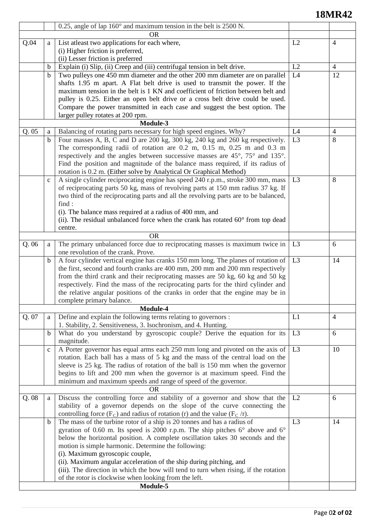# **18MR42**

|       |              | 0.25, angle of lap $160^{\circ}$ and maximum tension in the belt is 2500 N.                     |                |                |  |  |  |
|-------|--------------|-------------------------------------------------------------------------------------------------|----------------|----------------|--|--|--|
|       |              | <b>OR</b>                                                                                       |                |                |  |  |  |
| Q.04  | a            | List atleast two applications for each where,                                                   | L2             | $\overline{4}$ |  |  |  |
|       |              | (i) Higher friction is preferred,                                                               |                |                |  |  |  |
|       |              | (ii) Lesser friction is preferred                                                               |                |                |  |  |  |
|       | b            | Explain (i) Slip, (ii) Creep and (iii) centrifugal tension in belt drive.                       | L2             | $\overline{4}$ |  |  |  |
|       | $\mathbf b$  | Two pulleys one 450 mm diameter and the other 200 mm diameter are on parallel                   | L <sub>4</sub> | 12             |  |  |  |
|       |              | shafts 1.95 m apart. A Flat belt drive is used to transmit the power. If the                    |                |                |  |  |  |
|       |              | maximum tension in the belt is 1 KN and coefficient of friction between belt and                |                |                |  |  |  |
|       |              | pulley is 0.25. Either an open belt drive or a cross belt drive could be used.                  |                |                |  |  |  |
|       |              | Compare the power transmitted in each case and suggest the best option. The                     |                |                |  |  |  |
|       |              | larger pulley rotates at 200 rpm.                                                               |                |                |  |  |  |
|       | Module-3     |                                                                                                 |                |                |  |  |  |
| Q.05  | a            | Balancing of rotating parts necessary for high speed engines. Why?                              | L4             | $\overline{4}$ |  |  |  |
|       | $\mathbf b$  | Four masses A, B, C and D are 200 kg, 300 kg, 240 kg and 260 kg respectively.                   | L <sub>3</sub> | 8              |  |  |  |
|       |              | The corresponding radii of rotation are 0.2 m, 0.15 m, 0.25 m and 0.3 m                         |                |                |  |  |  |
|       |              | respectively and the angles between successive masses are 45°, 75° and 135°.                    |                |                |  |  |  |
|       |              | Find the position and magnitude of the balance mass required, if its radius of                  |                |                |  |  |  |
|       |              | rotation is 0.2 m. (Either solve by Analytical Or Graphical Method)                             |                |                |  |  |  |
|       | $\mathbf{c}$ | A single cylinder reciprocating engine has speed 240 r.p.m., stroke 300 mm, mass                | L <sub>3</sub> | 8              |  |  |  |
|       |              | of reciprocating parts 50 kg, mass of revolving parts at 150 mm radius 37 kg. If                |                |                |  |  |  |
|       |              | two third of the reciprocating parts and all the revolving parts are to be balanced,            |                |                |  |  |  |
|       |              | find:                                                                                           |                |                |  |  |  |
|       |              | (i). The balance mass required at a radius of 400 mm, and                                       |                |                |  |  |  |
|       |              | (ii). The residual unbalanced force when the crank has rotated $60^{\circ}$ from top dead       |                |                |  |  |  |
|       |              | centre.                                                                                         |                |                |  |  |  |
|       |              | <b>OR</b>                                                                                       |                |                |  |  |  |
| Q.06  | a            | The primary unbalanced force due to reciprocating masses is maximum twice in                    | L <sub>3</sub> | 6              |  |  |  |
|       |              | one revolution of the crank. Prove.                                                             |                |                |  |  |  |
|       | b            | A four cylinder vertical engine has cranks 150 mm long. The planes of rotation of               | L <sub>3</sub> | 14             |  |  |  |
|       |              | the first, second and fourth cranks are 400 mm, 200 mm and 200 mm respectively                  |                |                |  |  |  |
|       |              | from the third crank and their reciprocating masses are 50 kg, 60 kg and 50 kg                  |                |                |  |  |  |
|       |              | respectively. Find the mass of the reciprocating parts for the third cylinder and               |                |                |  |  |  |
|       |              | the relative angular positions of the cranks in order that the engine may be in                 |                |                |  |  |  |
|       |              | complete primary balance.                                                                       |                |                |  |  |  |
|       |              | Module-4                                                                                        |                |                |  |  |  |
| Q. 07 | a            | Define and explain the following terms relating to governors :                                  | L1             | $\overline{4}$ |  |  |  |
|       |              | 1. Stability, 2. Sensitiveness, 3. Isochronism, and 4. Hunting.                                 |                |                |  |  |  |
|       | $\mathbf b$  | What do you understand by gyroscopic couple? Derive the equation for its                        | L <sub>3</sub> | 6              |  |  |  |
|       |              | magnitude.                                                                                      |                |                |  |  |  |
|       | $\mathbf c$  | A Porter governor has equal arms each 250 mm long and pivoted on the axis of                    | L <sub>3</sub> | 10             |  |  |  |
|       |              | rotation. Each ball has a mass of 5 kg and the mass of the central load on the                  |                |                |  |  |  |
|       |              | sleeve is 25 kg. The radius of rotation of the ball is 150 mm when the governor                 |                |                |  |  |  |
|       |              | begins to lift and 200 mm when the governor is at maximum speed. Find the                       |                |                |  |  |  |
|       |              | minimum and maximum speeds and range of speed of the governor.<br><b>OR</b>                     |                |                |  |  |  |
| Q.08  |              | Discuss the controlling force and stability of a governor and show that the                     | L2             | 6              |  |  |  |
|       | a            | stability of a governor depends on the slope of the curve connecting the                        |                |                |  |  |  |
|       |              | controlling force $(F_C)$ and radius of rotation (r) and the value $(F_C/r)$ .                  |                |                |  |  |  |
|       | $\mathbf b$  | The mass of the turbine rotor of a ship is 20 tonnes and has a radius of                        | L <sub>3</sub> | 14             |  |  |  |
|       |              | gyration of 0.60 m. Its speed is 2000 r.p.m. The ship pitches $6^{\circ}$ above and $6^{\circ}$ |                |                |  |  |  |
|       |              | below the horizontal position. A complete oscillation takes 30 seconds and the                  |                |                |  |  |  |
|       |              | motion is simple harmonic. Determine the following:                                             |                |                |  |  |  |
|       |              | (i). Maximum gyroscopic couple,                                                                 |                |                |  |  |  |
|       |              | (ii). Maximum angular acceleration of the ship during pitching, and                             |                |                |  |  |  |
|       |              | (iii). The direction in which the bow will tend to turn when rising, if the rotation            |                |                |  |  |  |
|       |              | of the rotor is clockwise when looking from the left.                                           |                |                |  |  |  |
|       |              | Module-5                                                                                        |                |                |  |  |  |
|       |              |                                                                                                 |                |                |  |  |  |